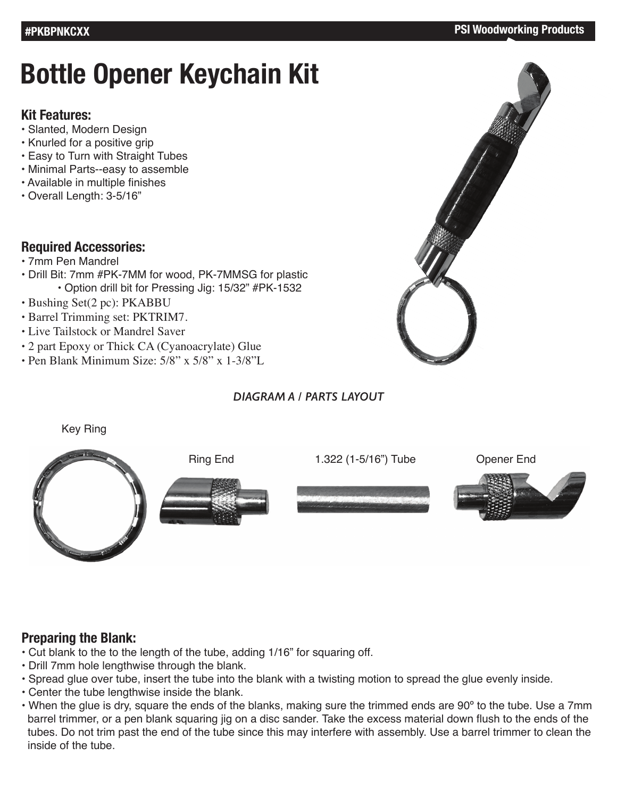# **Bottle Opener Keychain Kit**

#### **Kit Features:**

- Slanted, Modern Design
- Knurled for a positive grip
- Easy to Turn with Straight Tubes
- Minimal Parts--easy to assemble
- Available in multiple finishes
- Overall Length: 3-5/16"

#### **Required Accessories:**

- 7mm Pen Mandrel
- Drill Bit: 7mm #PK-7MM for wood, PK-7MMSG for plastic • Option drill bit for Pressing Jig: 15/32" #PK-1532
- Bushing Set(2 pc): PKABBU
- Barrel Trimming set: PKTRIM7.
- Live Tailstock or Mandrel Saver
- 2 part Epoxy or Thick CA (Cyanoacrylate) Glue
- Pen Blank Minimum Size: 5/8" x 5/8" x 1-3/8"L

#### *DIAGRAM A / PARTS LAYOUT*



#### Key Ring



### **Preparing the Blank:**

- Cut blank to the to the length of the tube, adding 1/16" for squaring off.
- Drill 7mm hole lengthwise through the blank.
- Spread glue over tube, insert the tube into the blank with a twisting motion to spread the glue evenly inside.
- Center the tube lengthwise inside the blank.
- When the glue is dry, square the ends of the blanks, making sure the trimmed ends are 90º to the tube. Use a 7mm barrel trimmer, or a pen blank squaring jig on a disc sander. Take the excess material down flush to the ends of the tubes. Do not trim past the end of the tube since this may interfere with assembly. Use a barrel trimmer to clean the inside of the tube.